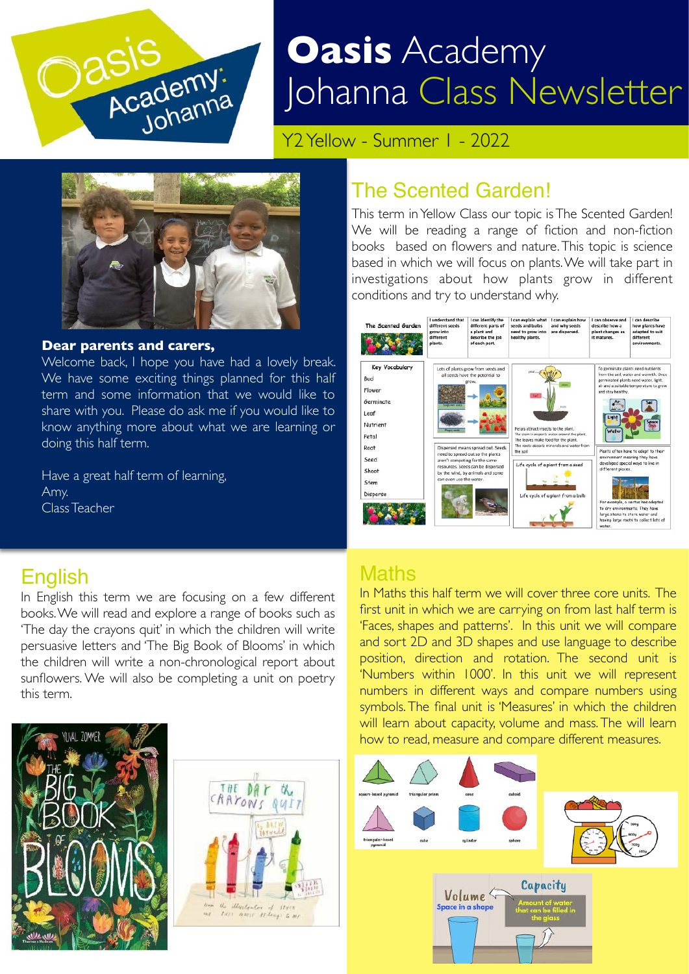

# **Oasis** Academy Johanna Class Newsletter

Y<sub>2</sub> Yellow - Summer 1 - 2022



#### **Dear parents and carers,**

Welcome back, I hope you have had a lovely break. We have some exciting things planned for this half term and some information that we would like to share with you. Please do ask me if you would like to know anything more about what we are learning or doing this half term.

Have a great half term of learning, Amy. Class Teacher

#### The Scented Garden!

This term in Yellow Class our topic is The Scented Garden! We will be reading a range of fiction and non-fiction books based on flowers and nature. This topic is science based in which we will focus on plants. We will take part in investigations about how plants grow in different conditions and try to understand why.



#### **English**

In English this term we are focusing on a few different books. We will read and explore a range of books such as 'The day the crayons quit' in which the children will write persuasive letters and 'The Big Book of Blooms' in which the children will write a non-chronological report about sunflowers. We will also be completing a unit on poetry this term.





#### **Maths**

In Maths this half term we will cover three core units. The first unit in which we are carrying on from last half term is 'Faces, shapes and patterns'. In this unit we will compare and sort 2D and 3D shapes and use language to describe position, direction and rotation. The second unit is 'Numbers within 1000'. In this unit we will represent numbers in different ways and compare numbers using symbols. The final unit is 'Measures' in which the children will learn about capacity, volume and mass. The will learn how to read, measure and compare different measures.